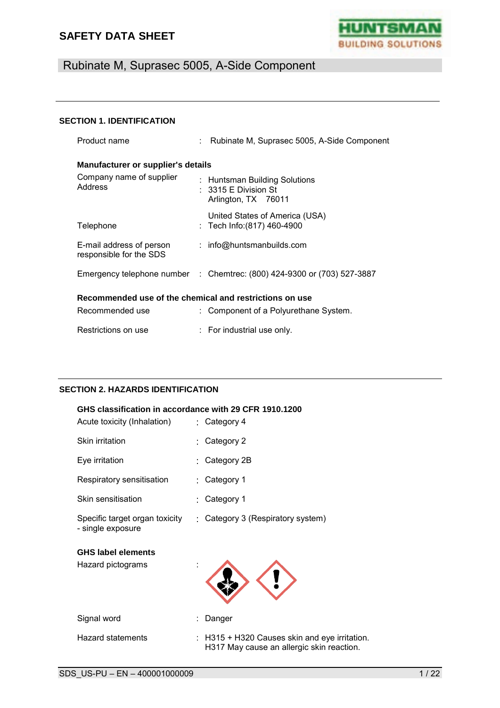

# Rubinate M, Suprasec 5005, A-Side Component

#### **SECTION 1. IDENTIFICATION**

| Product name                                            |  | : Rubinate M, Suprasec 5005, A-Side Component                                           |  |
|---------------------------------------------------------|--|-----------------------------------------------------------------------------------------|--|
| <b>Manufacturer or supplier's details</b>               |  |                                                                                         |  |
| Company name of supplier<br>Address                     |  | : Huntsman Building Solutions<br>$: 3315 \mathsf{E}$ Division St<br>Arlington, TX 76011 |  |
| Telephone                                               |  | United States of America (USA)<br>: Tech Info:(817) 460-4900                            |  |
| E-mail address of person<br>responsible for the SDS     |  | : info@huntsmanbuilds.com                                                               |  |
|                                                         |  | Emergency telephone number : Chemtrec: (800) 424-9300 or (703) 527-3887                 |  |
| Recommended use of the chemical and restrictions on use |  |                                                                                         |  |
| Recommended use                                         |  | : Component of a Polyurethane System.                                                   |  |
| Restrictions on use                                     |  | : For industrial use only.                                                              |  |

#### **SECTION 2. HAZARDS IDENTIFICATION**

| GHS classification in accordance with 29 CFR 1910.1200 |    |                                                                                            |  |
|--------------------------------------------------------|----|--------------------------------------------------------------------------------------------|--|
| Acute toxicity (Inhalation)                            |    | $:$ Category 4                                                                             |  |
| Skin irritation                                        |    | : Category 2                                                                               |  |
| Eye irritation                                         |    | Category 2B                                                                                |  |
| Respiratory sensitisation                              | ۰, | Category 1                                                                                 |  |
| Skin sensitisation                                     |    | Category 1                                                                                 |  |
| Specific target organ toxicity<br>- single exposure    |    | : Category 3 (Respiratory system)                                                          |  |
| <b>GHS label elements</b><br>Hazard pictograms         |    |                                                                                            |  |
| Signal word                                            |    | Danger                                                                                     |  |
| Hazard statements                                      |    | : H315 + H320 Causes skin and eye irritation.<br>H317 May cause an allergic skin reaction. |  |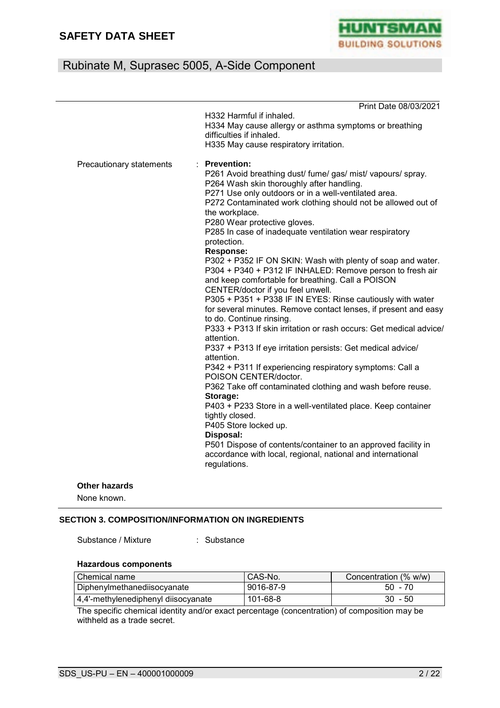

|                          | Print Date 08/03/2021                                                                                                                                                                                                                                                                                                                                                                                                                                                                                                                                                                                                                                                                                                                                                                                                                                                                                                                                                                                                                                                                                                                                                                                                                                                                                                                                                                              |
|--------------------------|----------------------------------------------------------------------------------------------------------------------------------------------------------------------------------------------------------------------------------------------------------------------------------------------------------------------------------------------------------------------------------------------------------------------------------------------------------------------------------------------------------------------------------------------------------------------------------------------------------------------------------------------------------------------------------------------------------------------------------------------------------------------------------------------------------------------------------------------------------------------------------------------------------------------------------------------------------------------------------------------------------------------------------------------------------------------------------------------------------------------------------------------------------------------------------------------------------------------------------------------------------------------------------------------------------------------------------------------------------------------------------------------------|
|                          | H332 Harmful if inhaled.<br>H334 May cause allergy or asthma symptoms or breathing<br>difficulties if inhaled.<br>H335 May cause respiratory irritation.                                                                                                                                                                                                                                                                                                                                                                                                                                                                                                                                                                                                                                                                                                                                                                                                                                                                                                                                                                                                                                                                                                                                                                                                                                           |
| Precautionary statements | <b>Prevention:</b><br>P261 Avoid breathing dust/ fume/ gas/ mist/ vapours/ spray.<br>P264 Wash skin thoroughly after handling.<br>P271 Use only outdoors or in a well-ventilated area.<br>P272 Contaminated work clothing should not be allowed out of<br>the workplace.<br>P280 Wear protective gloves.<br>P285 In case of inadequate ventilation wear respiratory<br>protection.<br><b>Response:</b><br>P302 + P352 IF ON SKIN: Wash with plenty of soap and water.<br>P304 + P340 + P312 IF INHALED: Remove person to fresh air<br>and keep comfortable for breathing. Call a POISON<br>CENTER/doctor if you feel unwell.<br>P305 + P351 + P338 IF IN EYES: Rinse cautiously with water<br>for several minutes. Remove contact lenses, if present and easy<br>to do. Continue rinsing.<br>P333 + P313 If skin irritation or rash occurs: Get medical advice/<br>attention.<br>P337 + P313 If eye irritation persists: Get medical advice/<br>attention.<br>P342 + P311 If experiencing respiratory symptoms: Call a<br>POISON CENTER/doctor.<br>P362 Take off contaminated clothing and wash before reuse.<br>Storage:<br>P403 + P233 Store in a well-ventilated place. Keep container<br>tightly closed.<br>P405 Store locked up.<br>Disposal:<br>P501 Dispose of contents/container to an approved facility in<br>accordance with local, regional, national and international<br>regulations. |
|                          |                                                                                                                                                                                                                                                                                                                                                                                                                                                                                                                                                                                                                                                                                                                                                                                                                                                                                                                                                                                                                                                                                                                                                                                                                                                                                                                                                                                                    |

### **Other hazards**

None known.

### **SECTION 3. COMPOSITION/INFORMATION ON INGREDIENTS**

Substance / Mixture : Substance

#### **Hazardous components**

| Chemical name                       | CAS-No.   | Concentration (% w/w) |
|-------------------------------------|-----------|-----------------------|
| l Diphenvlmethanediisocvanate       | 9016-87-9 | $50 - 70$             |
| 4,4'-methylenediphenyl diisocyanate | 101-68-8  | $30 - 50$             |

The specific chemical identity and/or exact percentage (concentration) of composition may be withheld as a trade secret.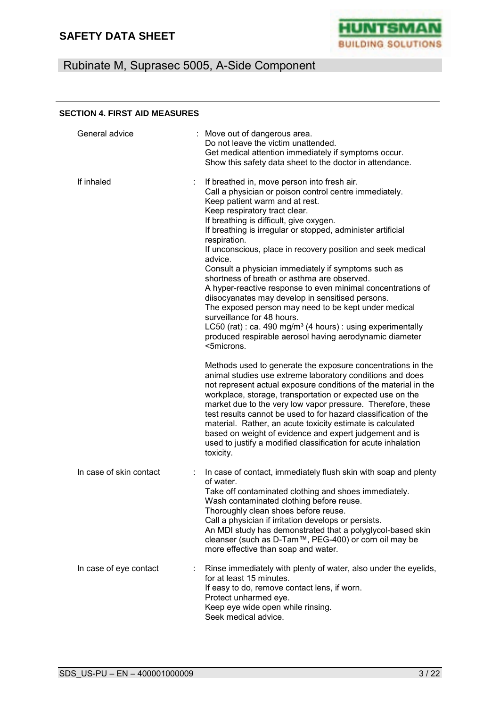

# Rubinate M, Suprasec 5005, A-Side Component

#### **SECTION 4. FIRST AID MEASURES**

| General advice          | : Move out of dangerous area.<br>Do not leave the victim unattended.<br>Get medical attention immediately if symptoms occur.<br>Show this safety data sheet to the doctor in attendance.                                                                                                                                                                                                                                                                                                                                                                                                                                                                                                                                                                                                                                                        |
|-------------------------|-------------------------------------------------------------------------------------------------------------------------------------------------------------------------------------------------------------------------------------------------------------------------------------------------------------------------------------------------------------------------------------------------------------------------------------------------------------------------------------------------------------------------------------------------------------------------------------------------------------------------------------------------------------------------------------------------------------------------------------------------------------------------------------------------------------------------------------------------|
| If inhaled              | If breathed in, move person into fresh air.<br>Call a physician or poison control centre immediately.<br>Keep patient warm and at rest.<br>Keep respiratory tract clear.<br>If breathing is difficult, give oxygen.<br>If breathing is irregular or stopped, administer artificial<br>respiration.<br>If unconscious, place in recovery position and seek medical<br>advice.<br>Consult a physician immediately if symptoms such as<br>shortness of breath or asthma are observed.<br>A hyper-reactive response to even minimal concentrations of<br>diisocyanates may develop in sensitised persons.<br>The exposed person may need to be kept under medical<br>surveillance for 48 hours.<br>LC50 (rat) : ca. 490 mg/m <sup>3</sup> (4 hours) : using experimentally<br>produced respirable aerosol having aerodynamic diameter<br><5microns. |
|                         | Methods used to generate the exposure concentrations in the<br>animal studies use extreme laboratory conditions and does<br>not represent actual exposure conditions of the material in the<br>workplace, storage, transportation or expected use on the<br>market due to the very low vapor pressure. Therefore, these<br>test results cannot be used to for hazard classification of the<br>material. Rather, an acute toxicity estimate is calculated<br>based on weight of evidence and expert judgement and is<br>used to justify a modified classification for acute inhalation<br>toxicity.                                                                                                                                                                                                                                              |
| In case of skin contact | In case of contact, immediately flush skin with soap and plenty<br>of water.<br>Take off contaminated clothing and shoes immediately.<br>Wash contaminated clothing before reuse.<br>Thoroughly clean shoes before reuse.<br>Call a physician if irritation develops or persists.<br>An MDI study has demonstrated that a polyglycol-based skin<br>cleanser (such as D-Tam™, PEG-400) or corn oil may be<br>more effective than soap and water.                                                                                                                                                                                                                                                                                                                                                                                                 |
| In case of eye contact  | Rinse immediately with plenty of water, also under the eyelids,<br>for at least 15 minutes.<br>If easy to do, remove contact lens, if worn.<br>Protect unharmed eye.<br>Keep eye wide open while rinsing.<br>Seek medical advice.                                                                                                                                                                                                                                                                                                                                                                                                                                                                                                                                                                                                               |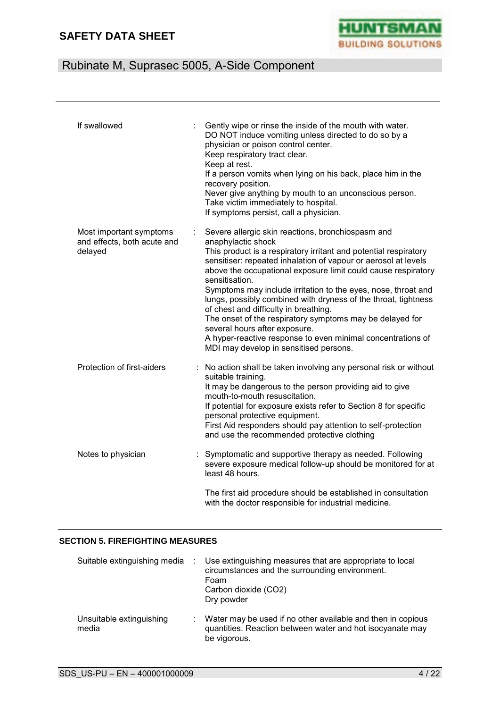

# Rubinate M, Suprasec 5005, A-Side Component

| If swallowed                                                      | Gently wipe or rinse the inside of the mouth with water.<br>DO NOT induce vomiting unless directed to do so by a<br>physician or poison control center.<br>Keep respiratory tract clear.<br>Keep at rest.<br>If a person vomits when lying on his back, place him in the<br>recovery position.<br>Never give anything by mouth to an unconscious person.<br>Take victim immediately to hospital.<br>If symptoms persist, call a physician.                                                                                                                                                                                                                                         |
|-------------------------------------------------------------------|------------------------------------------------------------------------------------------------------------------------------------------------------------------------------------------------------------------------------------------------------------------------------------------------------------------------------------------------------------------------------------------------------------------------------------------------------------------------------------------------------------------------------------------------------------------------------------------------------------------------------------------------------------------------------------|
| Most important symptoms<br>and effects, both acute and<br>delayed | Severe allergic skin reactions, bronchiospasm and<br>anaphylactic shock<br>This product is a respiratory irritant and potential respiratory<br>sensitiser: repeated inhalation of vapour or aerosol at levels<br>above the occupational exposure limit could cause respiratory<br>sensitisation.<br>Symptoms may include irritation to the eyes, nose, throat and<br>lungs, possibly combined with dryness of the throat, tightness<br>of chest and difficulty in breathing.<br>The onset of the respiratory symptoms may be delayed for<br>several hours after exposure.<br>A hyper-reactive response to even minimal concentrations of<br>MDI may develop in sensitised persons. |
| Protection of first-aiders                                        | : No action shall be taken involving any personal risk or without<br>suitable training.<br>It may be dangerous to the person providing aid to give<br>mouth-to-mouth resuscitation.<br>If potential for exposure exists refer to Section 8 for specific<br>personal protective equipment.<br>First Aid responders should pay attention to self-protection<br>and use the recommended protective clothing                                                                                                                                                                                                                                                                           |
| Notes to physician                                                | Symptomatic and supportive therapy as needed. Following<br>severe exposure medical follow-up should be monitored for at<br>least 48 hours.                                                                                                                                                                                                                                                                                                                                                                                                                                                                                                                                         |
|                                                                   | The first aid procedure should be established in consultation<br>with the doctor responsible for industrial medicine.                                                                                                                                                                                                                                                                                                                                                                                                                                                                                                                                                              |

#### **SECTION 5. FIREFIGHTING MEASURES**

| Suitable extinguishing media :    | Use extinguishing measures that are appropriate to local<br>circumstances and the surrounding environment.<br>Foam<br>Carbon dioxide (CO2)<br>Dry powder |
|-----------------------------------|----------------------------------------------------------------------------------------------------------------------------------------------------------|
| Unsuitable extinguishing<br>media | Water may be used if no other available and then in copious<br>quantities. Reaction between water and hot isocyanate may<br>be vigorous.                 |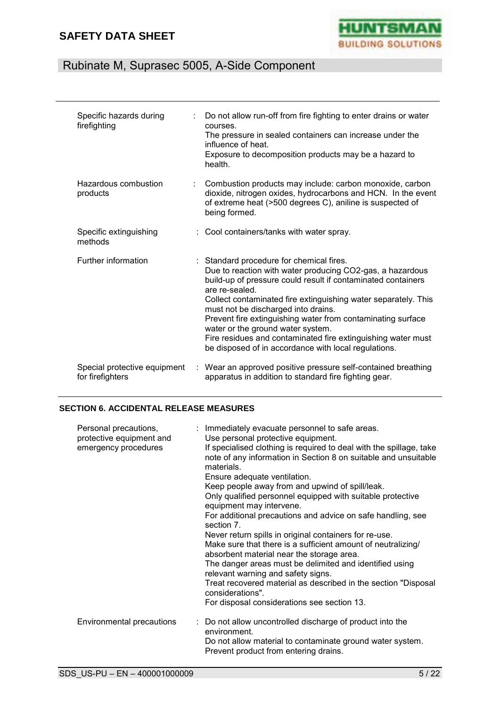

# Rubinate M, Suprasec 5005, A-Side Component

| Specific hazards during<br>firefighting          | Do not allow run-off from fire fighting to enter drains or water<br>courses.<br>The pressure in sealed containers can increase under the<br>influence of heat.<br>Exposure to decomposition products may be a hazard to<br>health.                                                                                                                                                                                                                                                                                           |
|--------------------------------------------------|------------------------------------------------------------------------------------------------------------------------------------------------------------------------------------------------------------------------------------------------------------------------------------------------------------------------------------------------------------------------------------------------------------------------------------------------------------------------------------------------------------------------------|
| Hazardous combustion<br>products                 | Combustion products may include: carbon monoxide, carbon<br>dioxide, nitrogen oxides, hydrocarbons and HCN. In the event<br>of extreme heat (>500 degrees C), aniline is suspected of<br>being formed.                                                                                                                                                                                                                                                                                                                       |
| Specific extinguishing<br>methods                | : Cool containers/tanks with water spray.                                                                                                                                                                                                                                                                                                                                                                                                                                                                                    |
| Further information                              | : Standard procedure for chemical fires.<br>Due to reaction with water producing CO2-gas, a hazardous<br>build-up of pressure could result if contaminated containers<br>are re-sealed.<br>Collect contaminated fire extinguishing water separately. This<br>must not be discharged into drains.<br>Prevent fire extinguishing water from contaminating surface<br>water or the ground water system.<br>Fire residues and contaminated fire extinguishing water must<br>be disposed of in accordance with local regulations. |
| Special protective equipment<br>for firefighters | : Wear an approved positive pressure self-contained breathing<br>apparatus in addition to standard fire fighting gear.                                                                                                                                                                                                                                                                                                                                                                                                       |

#### **SECTION 6. ACCIDENTAL RELEASE MEASURES**

| Personal precautions,<br>protective equipment and<br>emergency procedures | : Immediately evacuate personnel to safe areas.<br>Use personal protective equipment.<br>If specialised clothing is required to deal with the spillage, take<br>note of any information in Section 8 on suitable and unsuitable<br>materials.<br>Ensure adequate ventilation.<br>Keep people away from and upwind of spill/leak.<br>Only qualified personnel equipped with suitable protective<br>equipment may intervene.<br>For additional precautions and advice on safe handling, see<br>section 7.<br>Never return spills in original containers for re-use.<br>Make sure that there is a sufficient amount of neutralizing/<br>absorbent material near the storage area.<br>The danger areas must be delimited and identified using<br>relevant warning and safety signs.<br>Treat recovered material as described in the section "Disposal<br>considerations".<br>For disposal considerations see section 13. |
|---------------------------------------------------------------------------|----------------------------------------------------------------------------------------------------------------------------------------------------------------------------------------------------------------------------------------------------------------------------------------------------------------------------------------------------------------------------------------------------------------------------------------------------------------------------------------------------------------------------------------------------------------------------------------------------------------------------------------------------------------------------------------------------------------------------------------------------------------------------------------------------------------------------------------------------------------------------------------------------------------------|
| Environmental precautions                                                 | : Do not allow uncontrolled discharge of product into the<br>environment.<br>Do not allow material to contaminate ground water system.<br>Prevent product from entering drains.                                                                                                                                                                                                                                                                                                                                                                                                                                                                                                                                                                                                                                                                                                                                      |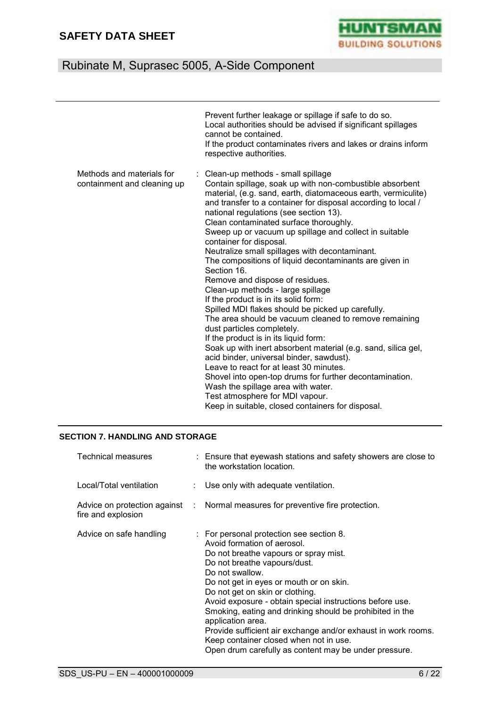

# Rubinate M, Suprasec 5005, A-Side Component

|                                                          | Prevent further leakage or spillage if safe to do so.<br>Local authorities should be advised if significant spillages<br>cannot be contained.<br>If the product contaminates rivers and lakes or drains inform<br>respective authorities.                                                                                                                                                                                                                                                                                                                                                                                                                                                                                                                                                                                                                                                                                                                                                                                                                                                                                                                                                   |
|----------------------------------------------------------|---------------------------------------------------------------------------------------------------------------------------------------------------------------------------------------------------------------------------------------------------------------------------------------------------------------------------------------------------------------------------------------------------------------------------------------------------------------------------------------------------------------------------------------------------------------------------------------------------------------------------------------------------------------------------------------------------------------------------------------------------------------------------------------------------------------------------------------------------------------------------------------------------------------------------------------------------------------------------------------------------------------------------------------------------------------------------------------------------------------------------------------------------------------------------------------------|
| Methods and materials for<br>containment and cleaning up | : Clean-up methods - small spillage<br>Contain spillage, soak up with non-combustible absorbent<br>material, (e.g. sand, earth, diatomaceous earth, vermiculite)<br>and transfer to a container for disposal according to local /<br>national regulations (see section 13).<br>Clean contaminated surface thoroughly.<br>Sweep up or vacuum up spillage and collect in suitable<br>container for disposal.<br>Neutralize small spillages with decontaminant.<br>The compositions of liquid decontaminants are given in<br>Section 16.<br>Remove and dispose of residues.<br>Clean-up methods - large spillage<br>If the product is in its solid form:<br>Spilled MDI flakes should be picked up carefully.<br>The area should be vacuum cleaned to remove remaining<br>dust particles completely.<br>If the product is in its liquid form:<br>Soak up with inert absorbent material (e.g. sand, silica gel,<br>acid binder, universal binder, sawdust).<br>Leave to react for at least 30 minutes.<br>Shovel into open-top drums for further decontamination.<br>Wash the spillage area with water.<br>Test atmosphere for MDI vapour.<br>Keep in suitable, closed containers for disposal. |

#### **SECTION 7. HANDLING AND STORAGE**

| <b>Technical measures</b> | : Ensure that eyewash stations and safety showers are close to<br>the workstation location.                                                                                                                                                                                                                                                                                                                                                                                                                                                                        |
|---------------------------|--------------------------------------------------------------------------------------------------------------------------------------------------------------------------------------------------------------------------------------------------------------------------------------------------------------------------------------------------------------------------------------------------------------------------------------------------------------------------------------------------------------------------------------------------------------------|
| Local/Total ventilation   | : Use only with adequate ventilation.                                                                                                                                                                                                                                                                                                                                                                                                                                                                                                                              |
| fire and explosion        | Advice on protection against : Normal measures for preventive fire protection.                                                                                                                                                                                                                                                                                                                                                                                                                                                                                     |
| Advice on safe handling   | : For personal protection see section 8.<br>Avoid formation of aerosol.<br>Do not breathe vapours or spray mist.<br>Do not breathe vapours/dust.<br>Do not swallow.<br>Do not get in eyes or mouth or on skin.<br>Do not get on skin or clothing.<br>Avoid exposure - obtain special instructions before use.<br>Smoking, eating and drinking should be prohibited in the<br>application area.<br>Provide sufficient air exchange and/or exhaust in work rooms.<br>Keep container closed when not in use.<br>Open drum carefully as content may be under pressure. |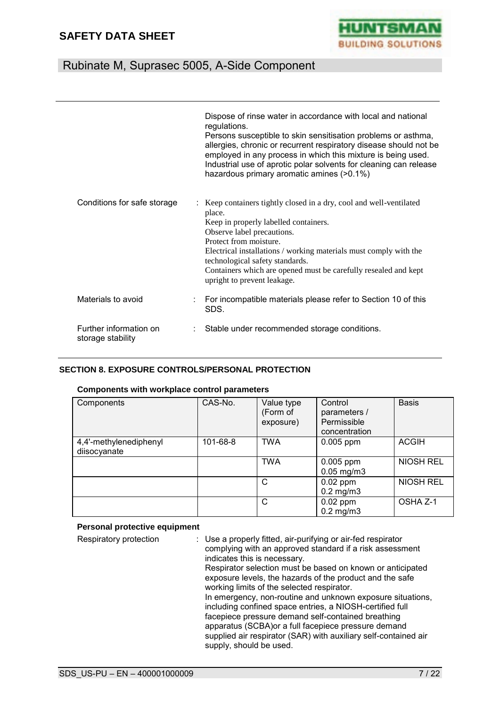

# Rubinate M, Suprasec 5005, A-Side Component

|                                             | Dispose of rinse water in accordance with local and national<br>regulations.<br>Persons susceptible to skin sensitisation problems or asthma,<br>allergies, chronic or recurrent respiratory disease should not be<br>employed in any process in which this mixture is being used.<br>Industrial use of aprotic polar solvents for cleaning can release<br>hazardous primary aromatic amines (>0.1%) |
|---------------------------------------------|------------------------------------------------------------------------------------------------------------------------------------------------------------------------------------------------------------------------------------------------------------------------------------------------------------------------------------------------------------------------------------------------------|
| Conditions for safe storage                 | Keep containers tightly closed in a dry, cool and well-ventilated<br>place.<br>Keep in properly labelled containers.<br>Observe label precautions.<br>Protect from moisture.<br>Electrical installations / working materials must comply with the<br>technological safety standards.<br>Containers which are opened must be carefully resealed and kept<br>upright to prevent leakage.               |
| Materials to avoid                          | For incompatible materials please refer to Section 10 of this<br>SDS.                                                                                                                                                                                                                                                                                                                                |
| Further information on<br>storage stability | Stable under recommended storage conditions.                                                                                                                                                                                                                                                                                                                                                         |

#### **SECTION 8. EXPOSURE CONTROLS/PERSONAL PROTECTION**

#### **Components with workplace control parameters**

| Components                             | CAS-No.  | Value type<br>(Form of<br>exposure) | Control<br>parameters /<br>Permissible<br>concentration | <b>Basis</b>     |
|----------------------------------------|----------|-------------------------------------|---------------------------------------------------------|------------------|
| 4,4'-methylenediphenyl<br>diisocyanate | 101-68-8 | <b>TWA</b>                          | $0.005$ ppm                                             | <b>ACGIH</b>     |
|                                        |          | <b>TWA</b>                          | $0.005$ ppm<br>$0.05$ mg/m $3$                          | NIOSH REL        |
|                                        |          | C                                   | $0.02$ ppm<br>$0.2$ mg/m $3$                            | <b>NIOSH REL</b> |
|                                        |          | $\mathsf{C}$                        | $0.02$ ppm<br>$0.2$ mg/m $3$                            | OSHA Z-1         |

#### **Personal protective equipment**

| Respiratory protection | : Use a properly fitted, air-purifying or air-fed respirator<br>complying with an approved standard if a risk assessment<br>indicates this is necessary.<br>Respirator selection must be based on known or anticipated<br>exposure levels, the hazards of the product and the safe |
|------------------------|------------------------------------------------------------------------------------------------------------------------------------------------------------------------------------------------------------------------------------------------------------------------------------|
|                        | working limits of the selected respirator.<br>In emergency, non-routine and unknown exposure situations,<br>including confined space entries, a NIOSH-certified full                                                                                                               |
|                        | facepiece pressure demand self-contained breathing<br>apparatus (SCBA) or a full facepiece pressure demand<br>supplied air respirator (SAR) with auxiliary self-contained air                                                                                                      |
|                        | supply, should be used.                                                                                                                                                                                                                                                            |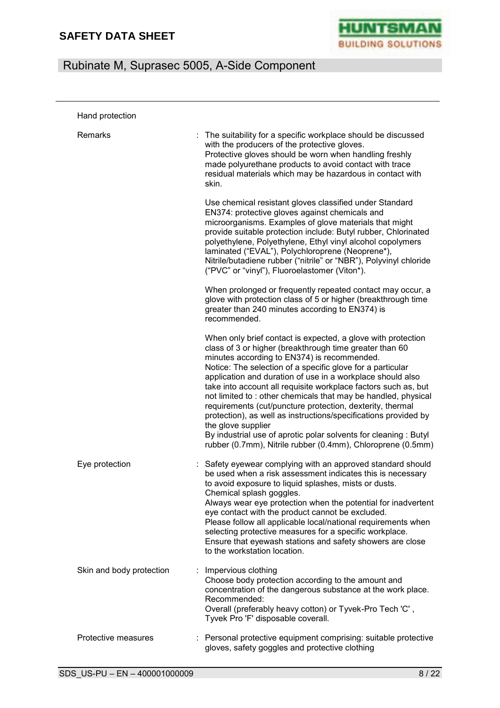

| Hand protection          |                                                                                                                                                                                                                                                                                                                                                                                                                                                                                                                                                                                                                                                                                                                               |
|--------------------------|-------------------------------------------------------------------------------------------------------------------------------------------------------------------------------------------------------------------------------------------------------------------------------------------------------------------------------------------------------------------------------------------------------------------------------------------------------------------------------------------------------------------------------------------------------------------------------------------------------------------------------------------------------------------------------------------------------------------------------|
| Remarks                  | The suitability for a specific workplace should be discussed<br>with the producers of the protective gloves.<br>Protective gloves should be worn when handling freshly<br>made polyurethane products to avoid contact with trace<br>residual materials which may be hazardous in contact with<br>skin.                                                                                                                                                                                                                                                                                                                                                                                                                        |
|                          | Use chemical resistant gloves classified under Standard<br>EN374: protective gloves against chemicals and<br>microorganisms. Examples of glove materials that might<br>provide suitable protection include: Butyl rubber, Chlorinated<br>polyethylene, Polyethylene, Ethyl vinyl alcohol copolymers<br>laminated ("EVAL"), Polychloroprene (Neoprene*),<br>Nitrile/butadiene rubber ("nitrile" or "NBR"), Polyvinyl chloride<br>("PVC" or "vinyl"), Fluoroelastomer (Viton*).                                                                                                                                                                                                                                                 |
|                          | When prolonged or frequently repeated contact may occur, a<br>glove with protection class of 5 or higher (breakthrough time<br>greater than 240 minutes according to EN374) is<br>recommended.                                                                                                                                                                                                                                                                                                                                                                                                                                                                                                                                |
|                          | When only brief contact is expected, a glove with protection<br>class of 3 or higher (breakthrough time greater than 60<br>minutes according to EN374) is recommended.<br>Notice: The selection of a specific glove for a particular<br>application and duration of use in a workplace should also<br>take into account all requisite workplace factors such as, but<br>not limited to: other chemicals that may be handled, physical<br>requirements (cut/puncture protection, dexterity, thermal<br>protection), as well as instructions/specifications provided by<br>the glove supplier<br>By industrial use of aprotic polar solvents for cleaning: Butyl<br>rubber (0.7mm), Nitrile rubber (0.4mm), Chloroprene (0.5mm) |
| Eye protection           | : Safety eyewear complying with an approved standard should<br>be used when a risk assessment indicates this is necessary<br>to avoid exposure to liquid splashes, mists or dusts.<br>Chemical splash goggles.<br>Always wear eye protection when the potential for inadvertent<br>eye contact with the product cannot be excluded.<br>Please follow all applicable local/national requirements when<br>selecting protective measures for a specific workplace.<br>Ensure that eyewash stations and safety showers are close<br>to the workstation location.                                                                                                                                                                  |
| Skin and body protection | Impervious clothing<br>Choose body protection according to the amount and<br>concentration of the dangerous substance at the work place.<br>Recommended:<br>Overall (preferably heavy cotton) or Tyvek-Pro Tech 'C',<br>Tyvek Pro 'F' disposable coverall.                                                                                                                                                                                                                                                                                                                                                                                                                                                                    |
| Protective measures      | : Personal protective equipment comprising: suitable protective<br>gloves, safety goggles and protective clothing                                                                                                                                                                                                                                                                                                                                                                                                                                                                                                                                                                                                             |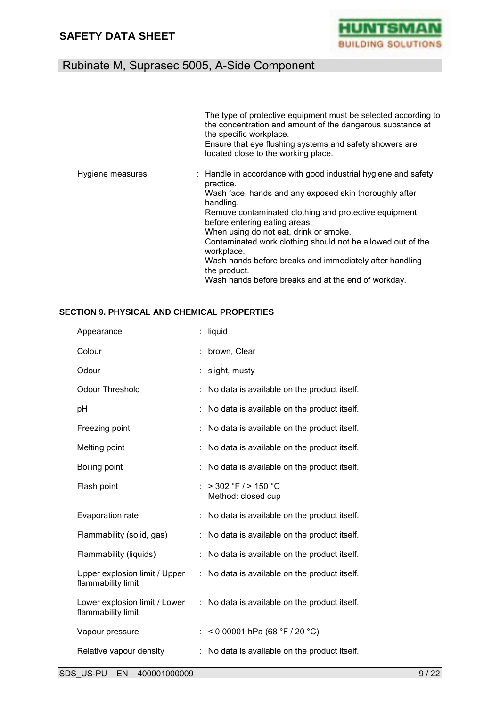

|                  | The type of protective equipment must be selected according to<br>the concentration and amount of the dangerous substance at<br>the specific workplace.<br>Ensure that eye flushing systems and safety showers are<br>located close to the working place.                                                                                                                                                                                      |
|------------------|------------------------------------------------------------------------------------------------------------------------------------------------------------------------------------------------------------------------------------------------------------------------------------------------------------------------------------------------------------------------------------------------------------------------------------------------|
| Hygiene measures | : Handle in accordance with good industrial hygiene and safety<br>practice.<br>Wash face, hands and any exposed skin thoroughly after<br>handling.<br>Remove contaminated clothing and protective equipment<br>before entering eating areas.<br>When using do not eat, drink or smoke.<br>Contaminated work clothing should not be allowed out of the<br>workplace.<br>Wash hands before breaks and immediately after handling<br>the product. |
|                  | Wash hands before breaks and at the end of workday.                                                                                                                                                                                                                                                                                                                                                                                            |

#### **SECTION 9. PHYSICAL AND CHEMICAL PROPERTIES**

| Appearance                                          |   | liquid                                        |
|-----------------------------------------------------|---|-----------------------------------------------|
| Colour                                              |   | brown, Clear                                  |
| Odour                                               | ÷ | slight, musty                                 |
| <b>Odour Threshold</b>                              |   | No data is available on the product itself.   |
| рH                                                  |   | No data is available on the product itself.   |
| Freezing point                                      |   | No data is available on the product itself.   |
| Melting point                                       |   | No data is available on the product itself.   |
| Boiling point                                       |   | No data is available on the product itself.   |
| Flash point                                         |   | $>$ 302 °F / $>$ 150 °C<br>Method: closed cup |
| Evaporation rate                                    |   | No data is available on the product itself.   |
| Flammability (solid, gas)                           |   | No data is available on the product itself.   |
| Flammability (liquids)                              |   | No data is available on the product itself.   |
| Upper explosion limit / Upper<br>flammability limit | ÷ | No data is available on the product itself.   |
| Lower explosion limit / Lower<br>flammability limit | ÷ | No data is available on the product itself.   |
| Vapour pressure                                     |   | < 0.00001 hPa (68 °F / 20 °C)                 |
| Relative vapour density                             |   | No data is available on the product itself.   |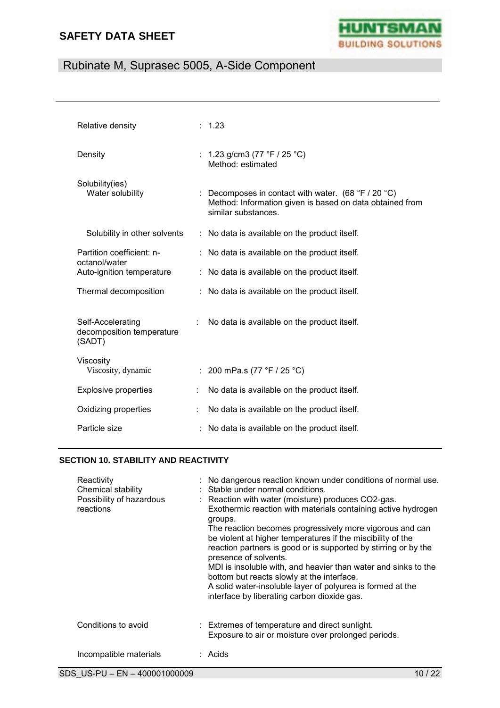

# Rubinate M, Suprasec 5005, A-Side Component

| Relative density                                         |    | : 1.23                                                                                                                                                 |
|----------------------------------------------------------|----|--------------------------------------------------------------------------------------------------------------------------------------------------------|
| Density                                                  |    | : 1.23 g/cm3 (77 °F / 25 °C)<br>Method: estimated                                                                                                      |
| Solubility(ies)<br>Water solubility                      |    | : Decomposes in contact with water. $(68 \degree F / 20 \degree C)$<br>Method: Information given is based on data obtained from<br>similar substances. |
| Solubility in other solvents                             |    | : No data is available on the product itself.                                                                                                          |
| Partition coefficient: n-<br>octanol/water               |    | : No data is available on the product itself.                                                                                                          |
| Auto-ignition temperature                                |    | : No data is available on the product itself.                                                                                                          |
| Thermal decomposition                                    |    | : No data is available on the product itself.                                                                                                          |
| Self-Accelerating<br>decomposition temperature<br>(SADT) |    | No data is available on the product itself.                                                                                                            |
| Viscosity<br>Viscosity, dynamic                          | ÷. | 200 mPa.s (77 °F / 25 °C)                                                                                                                              |
| <b>Explosive properties</b>                              |    | No data is available on the product itself.                                                                                                            |
| Oxidizing properties                                     | ÷  | No data is available on the product itself.                                                                                                            |
| Particle size                                            |    | No data is available on the product itself.                                                                                                            |

#### **SECTION 10. STABILITY AND REACTIVITY**

| Reactivity<br>Chemical stability<br>Possibility of hazardous<br>reactions | : No dangerous reaction known under conditions of normal use.<br>: Stable under normal conditions.<br>: Reaction with water (moisture) produces CO2-gas.<br>Exothermic reaction with materials containing active hydrogen<br>groups.<br>The reaction becomes progressively more vigorous and can<br>be violent at higher temperatures if the miscibility of the<br>reaction partners is good or is supported by stirring or by the<br>presence of solvents.<br>MDI is insoluble with, and heavier than water and sinks to the<br>bottom but reacts slowly at the interface.<br>A solid water-insoluble layer of polyurea is formed at the<br>interface by liberating carbon dioxide gas. |
|---------------------------------------------------------------------------|------------------------------------------------------------------------------------------------------------------------------------------------------------------------------------------------------------------------------------------------------------------------------------------------------------------------------------------------------------------------------------------------------------------------------------------------------------------------------------------------------------------------------------------------------------------------------------------------------------------------------------------------------------------------------------------|
| Conditions to avoid                                                       | : Extremes of temperature and direct sunlight.<br>Exposure to air or moisture over prolonged periods.                                                                                                                                                                                                                                                                                                                                                                                                                                                                                                                                                                                    |
| Incompatible materials                                                    | : Acids                                                                                                                                                                                                                                                                                                                                                                                                                                                                                                                                                                                                                                                                                  |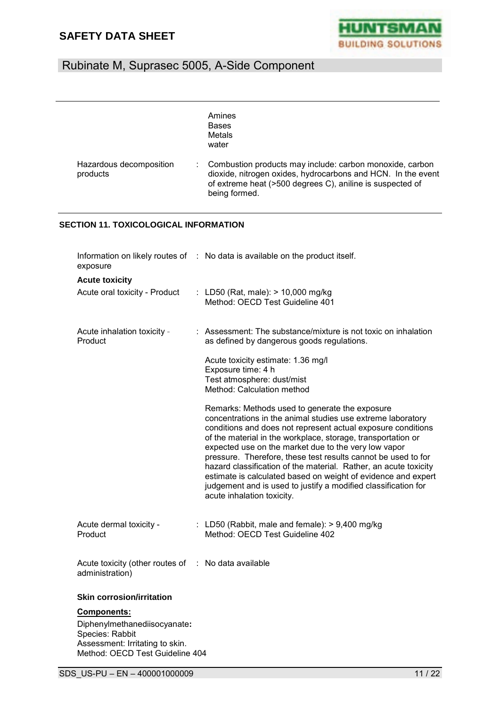

|                                     | Amines<br><b>Bases</b><br>Metals<br>water                                                                                                                                                              |
|-------------------------------------|--------------------------------------------------------------------------------------------------------------------------------------------------------------------------------------------------------|
| Hazardous decomposition<br>products | Combustion products may include: carbon monoxide, carbon<br>dioxide, nitrogen oxides, hydrocarbons and HCN. In the event<br>of extreme heat (>500 degrees C), aniline is suspected of<br>being formed. |

#### **SECTION 11. TOXICOLOGICAL INFORMATION**

| exposure                                                               | Information on likely routes of : No data is available on the product itself.                                                                                                                                                                                                                                                                                                                                                                                                                                                                                                                               |
|------------------------------------------------------------------------|-------------------------------------------------------------------------------------------------------------------------------------------------------------------------------------------------------------------------------------------------------------------------------------------------------------------------------------------------------------------------------------------------------------------------------------------------------------------------------------------------------------------------------------------------------------------------------------------------------------|
| <b>Acute toxicity</b>                                                  |                                                                                                                                                                                                                                                                                                                                                                                                                                                                                                                                                                                                             |
| Acute oral toxicity - Product                                          | : LD50 (Rat, male): $> 10,000$ mg/kg<br>Method: OECD Test Guideline 401                                                                                                                                                                                                                                                                                                                                                                                                                                                                                                                                     |
| Acute inhalation toxicity -<br>Product                                 | : Assessment: The substance/mixture is not toxic on inhalation<br>as defined by dangerous goods regulations.                                                                                                                                                                                                                                                                                                                                                                                                                                                                                                |
|                                                                        | Acute toxicity estimate: 1.36 mg/l<br>Exposure time: 4 h<br>Test atmosphere: dust/mist<br>Method: Calculation method                                                                                                                                                                                                                                                                                                                                                                                                                                                                                        |
|                                                                        | Remarks: Methods used to generate the exposure<br>concentrations in the animal studies use extreme laboratory<br>conditions and does not represent actual exposure conditions<br>of the material in the workplace, storage, transportation or<br>expected use on the market due to the very low vapor<br>pressure. Therefore, these test results cannot be used to for<br>hazard classification of the material. Rather, an acute toxicity<br>estimate is calculated based on weight of evidence and expert<br>judgement and is used to justify a modified classification for<br>acute inhalation toxicity. |
| Acute dermal toxicity -<br>Product                                     | : LD50 (Rabbit, male and female): $> 9,400$ mg/kg<br>Method: OECD Test Guideline 402                                                                                                                                                                                                                                                                                                                                                                                                                                                                                                                        |
| Acute toxicity (other routes of : No data available<br>administration) |                                                                                                                                                                                                                                                                                                                                                                                                                                                                                                                                                                                                             |
| <b>Skin corrosion/irritation</b>                                       |                                                                                                                                                                                                                                                                                                                                                                                                                                                                                                                                                                                                             |
| <b>Components:</b>                                                     |                                                                                                                                                                                                                                                                                                                                                                                                                                                                                                                                                                                                             |
| Diphenylmethanediisocyanate:<br>Species: Rabbit                        |                                                                                                                                                                                                                                                                                                                                                                                                                                                                                                                                                                                                             |

Species: Rabbit Assessment: Irritating to skin. Method: OECD Test Guideline 404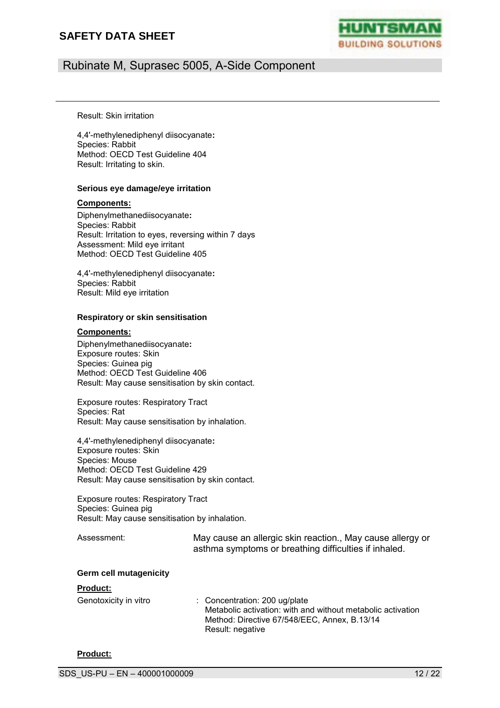

### Rubinate M, Suprasec 5005, A-Side Component

Result: Skin irritation

4,4'-methylenediphenyl diisocyanate**:** Species: Rabbit Method: OECD Test Guideline 404 Result: Irritating to skin.

#### **Serious eye damage/eye irritation**

#### **Components:**

Diphenylmethanediisocyanate**:** Species: Rabbit Result: Irritation to eyes, reversing within 7 days Assessment: Mild eye irritant Method: OECD Test Guideline 405

4,4'-methylenediphenyl diisocyanate**:** Species: Rabbit Result: Mild eye irritation

#### **Respiratory or skin sensitisation**

#### **Components:**

Diphenylmethanediisocyanate**:** Exposure routes: Skin Species: Guinea pig Method: OECD Test Guideline 406 Result: May cause sensitisation by skin contact.

Exposure routes: Respiratory Tract Species: Rat Result: May cause sensitisation by inhalation.

4,4'-methylenediphenyl diisocyanate**:** Exposure routes: Skin Species: Mouse Method: OECD Test Guideline 429 Result: May cause sensitisation by skin contact.

Exposure routes: Respiratory Tract Species: Guinea pig Result: May cause sensitisation by inhalation.

Assessment: May cause an allergic skin reaction., May cause allergy or asthma symptoms or breathing difficulties if inhaled.

#### **Germ cell mutagenicity**

#### **Product:**

| Genotoxicity in vitro | $\therefore$ Concentration: 200 ug/plate                    |
|-----------------------|-------------------------------------------------------------|
|                       | Metabolic activation: with and without metabolic activation |
|                       | Method: Directive 67/548/EEC, Annex, B.13/14                |
|                       | Result: negative                                            |

#### **Product:**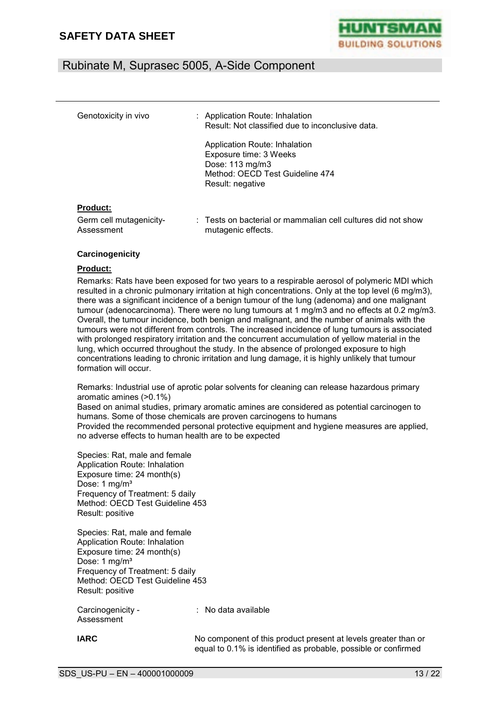

| Genotoxicity in vivo                  | : Application Route: Inhalation<br>Result: Not classified due to inconclusive data.                                               |
|---------------------------------------|-----------------------------------------------------------------------------------------------------------------------------------|
|                                       | Application Route: Inhalation<br>Exposure time: 3 Weeks<br>Dose: 113 mg/m3<br>Method: OECD Test Guideline 474<br>Result: negative |
| <b>Product:</b>                       |                                                                                                                                   |
| Germ cell mutagenicity-<br>Assessment | : Tests on bacterial or mammalian cell cultures did not show<br>mutagenic effects.                                                |

#### **Carcinogenicity**

#### **Product:**

Remarks: Rats have been exposed for two years to a respirable aerosol of polymeric MDI which resulted in a chronic pulmonary irritation at high concentrations. Only at the top level (6 mg/m3), there was a significant incidence of a benign tumour of the lung (adenoma) and one malignant tumour (adenocarcinoma). There were no lung tumours at 1 mg/m3 and no effects at 0.2 mg/m3. Overall, the tumour incidence, both benign and malignant, and the number of animals with the tumours were not different from controls. The increased incidence of lung tumours is associated with prolonged respiratory irritation and the concurrent accumulation of yellow material in the lung, which occurred throughout the study. In the absence of prolonged exposure to high concentrations leading to chronic irritation and lung damage, it is highly unlikely that tumour formation will occur.

Remarks: Industrial use of aprotic polar solvents for cleaning can release hazardous primary aromatic amines (>0.1%)

Based on animal studies, primary aromatic amines are considered as potential carcinogen to humans. Some of those chemicals are proven carcinogens to humans Provided the recommended personal protective equipment and hygiene measures are applied, no adverse effects to human health are to be expected

Species: Rat, male and female Application Route: Inhalation Exposure time: 24 month(s) Dose: 1 mg/m<sup>3</sup> Frequency of Treatment: 5 daily Method: OECD Test Guideline 453 Result: positive

Species: Rat, male and female Application Route: Inhalation Exposure time: 24 month(s) Dose: 1 mg/m<sup>3</sup> Frequency of Treatment: 5 daily Method: OECD Test Guideline 453 Result: positive

Carcinogenicity - Assessment

: No data available

**IARC** No component of this product present at levels greater than or equal to 0.1% is identified as probable, possible or confirmed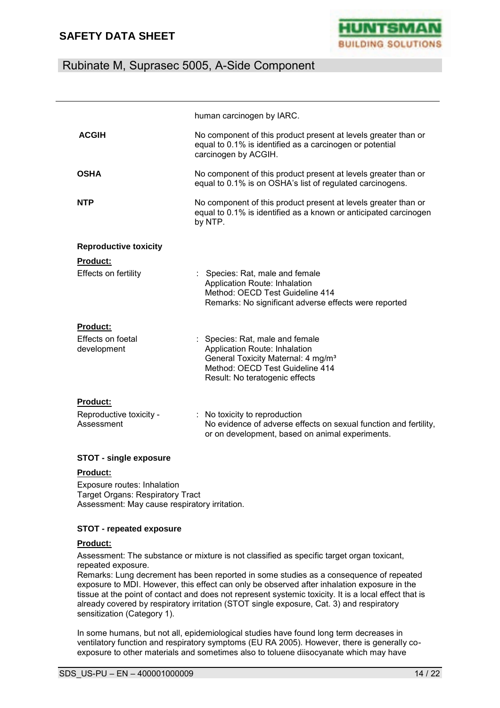

### Rubinate M, Suprasec 5005, A-Side Component

|                                                          | human carcinogen by IARC.                                                                                                                                                               |
|----------------------------------------------------------|-----------------------------------------------------------------------------------------------------------------------------------------------------------------------------------------|
| <b>ACGIH</b>                                             | No component of this product present at levels greater than or<br>equal to 0.1% is identified as a carcinogen or potential<br>carcinogen by ACGIH.                                      |
| <b>OSHA</b>                                              | No component of this product present at levels greater than or<br>equal to 0.1% is on OSHA's list of regulated carcinogens.                                                             |
| <b>NTP</b>                                               | No component of this product present at levels greater than or<br>equal to 0.1% is identified as a known or anticipated carcinogen<br>by NTP.                                           |
| <b>Reproductive toxicity</b>                             |                                                                                                                                                                                         |
| <b>Product:</b><br>Effects on fertility                  | : Species: Rat, male and female<br>Application Route: Inhalation<br>Method: OECD Test Guideline 414<br>Remarks: No significant adverse effects were reported                            |
| <b>Product:</b><br>Effects on foetal<br>development      | : Species: Rat, male and female<br>Application Route: Inhalation<br>General Toxicity Maternal: 4 mg/m <sup>3</sup><br>Method: OECD Test Guideline 414<br>Result: No teratogenic effects |
| <b>Product:</b><br>Reproductive toxicity -<br>Assessment | : No toxicity to reproduction<br>No evidence of adverse effects on sexual function and fertility,<br>or on development, based on animal experiments.                                    |

#### **STOT - single exposure**

#### **Product:**

Exposure routes: Inhalation Target Organs: Respiratory Tract Assessment: May cause respiratory irritation.

#### **STOT - repeated exposure**

#### **Product:**

Assessment: The substance or mixture is not classified as specific target organ toxicant, repeated exposure.

Remarks: Lung decrement has been reported in some studies as a consequence of repeated exposure to MDI. However, this effect can only be observed after inhalation exposure in the tissue at the point of contact and does not represent systemic toxicity. It is a local effect that is already covered by respiratory irritation (STOT single exposure, Cat. 3) and respiratory sensitization (Category 1).

In some humans, but not all, epidemiological studies have found long term decreases in ventilatory function and respiratory symptoms (EU RA 2005). However, there is generally coexposure to other materials and sometimes also to toluene diisocyanate which may have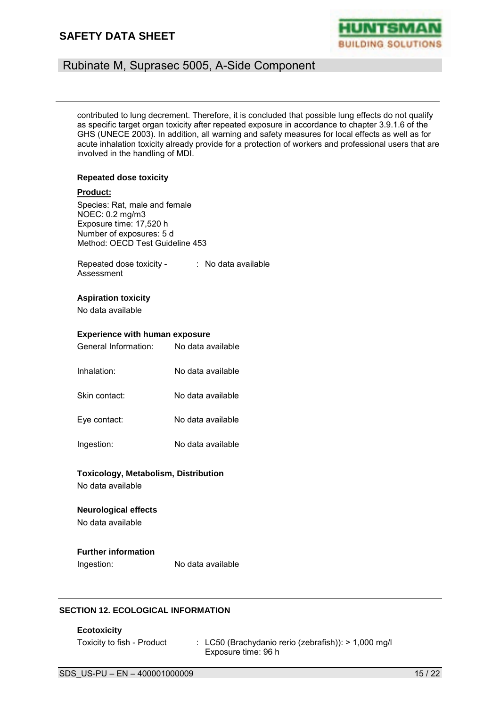

### Rubinate M, Suprasec 5005, A-Side Component

contributed to lung decrement. Therefore, it is concluded that possible lung effects do not qualify as specific target organ toxicity after repeated exposure in accordance to chapter 3.9.1.6 of the GHS (UNECE 2003). In addition, all warning and safety measures for local effects as well as for acute inhalation toxicity already provide for a protection of workers and professional users that are involved in the handling of MDI.

#### **Repeated dose toxicity**

#### **Product:**

Species: Rat, male and female NOEC: 0.2 mg/m3 Exposure time: 17,520 h Number of exposures: 5 d Method: OECD Test Guideline 453

Repeated dose toxicity - : No data available Assessment

#### **Aspiration toxicity**

No data available

# **Experience with human exposure**<br>Cananal Information: Also data assilable

| General Information: | No data available |
|----------------------|-------------------|
| Inhalation:          | No data available |
| Skin contact:        | No data available |
| Eye contact:         | No data available |
| Ingestion:           | No data available |

# **Toxicology, Metabolism, Distribution**

No data available

#### **Neurological effects**

No data available

#### **Further information**

Ingestion: No data available

#### **SECTION 12. ECOLOGICAL INFORMATION**

**Ecotoxicity**

Toxicity to fish - Product : LC50 (Brachydanio rerio (zebrafish)): > 1,000 mg/l Exposure time: 96 h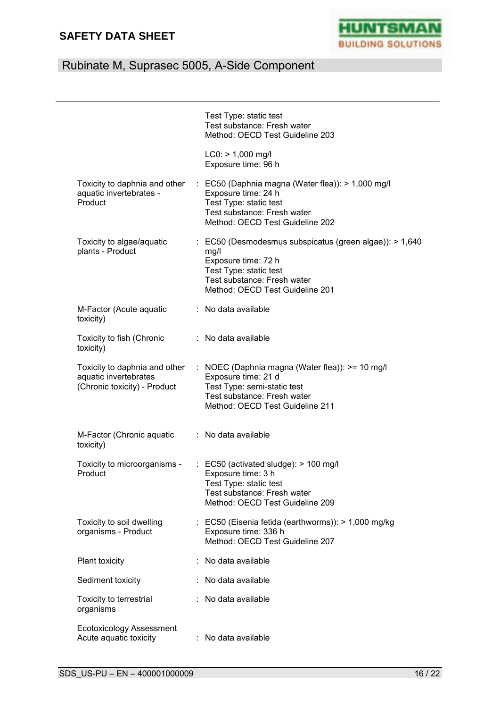

# Rubinate M, Suprasec 5005, A-Side Component

|                                                                                        | Test Type: static test<br>Test substance: Fresh water<br>Method: OECD Test Guideline 203                                                                                                      |
|----------------------------------------------------------------------------------------|-----------------------------------------------------------------------------------------------------------------------------------------------------------------------------------------------|
|                                                                                        | $LC0:$ > 1,000 mg/l<br>Exposure time: 96 h                                                                                                                                                    |
| Toxicity to daphnia and other<br>aquatic invertebrates -<br>Product                    | $\therefore$ EC50 (Daphnia magna (Water flea)): > 1,000 mg/l<br>Exposure time: 24 h<br>Test Type: static test<br>Test substance: Fresh water<br>Method: OECD Test Guideline 202               |
| Toxicity to algae/aquatic<br>plants - Product                                          | $\therefore$ EC50 (Desmodesmus subspicatus (green algae)): > 1,640<br>mg/l<br>Exposure time: 72 h<br>Test Type: static test<br>Test substance: Fresh water<br>Method: OECD Test Guideline 201 |
| M-Factor (Acute aquatic<br>toxicity)                                                   | : No data available                                                                                                                                                                           |
| Toxicity to fish (Chronic<br>toxicity)                                                 | : No data available                                                                                                                                                                           |
| Toxicity to daphnia and other<br>aquatic invertebrates<br>(Chronic toxicity) - Product | : NOEC (Daphnia magna (Water flea)): >= 10 mg/l<br>Exposure time: 21 d<br>Test Type: semi-static test<br>Test substance: Fresh water<br>Method: OECD Test Guideline 211                       |
| M-Factor (Chronic aquatic<br>toxicity)                                                 | : No data available                                                                                                                                                                           |
| Toxicity to microorganisms -<br>Product                                                | $\therefore$ EC50 (activated sludge): > 100 mg/l<br>Exposure time: 3 h<br>Test Type: static test<br>Test substance: Fresh water<br>Method: OECD Test Guideline 209                            |
| Toxicity to soil dwelling<br>organisms - Product                                       | : EC50 (Eisenia fetida (earthworms)): > 1,000 mg/kg<br>Exposure time: 336 h<br>Method: OECD Test Guideline 207                                                                                |
| Plant toxicity                                                                         | No data available                                                                                                                                                                             |
| Sediment toxicity                                                                      | : No data available                                                                                                                                                                           |
| Toxicity to terrestrial<br>organisms                                                   | No data available                                                                                                                                                                             |
| <b>Ecotoxicology Assessment</b><br>Acute aquatic toxicity                              | No data available                                                                                                                                                                             |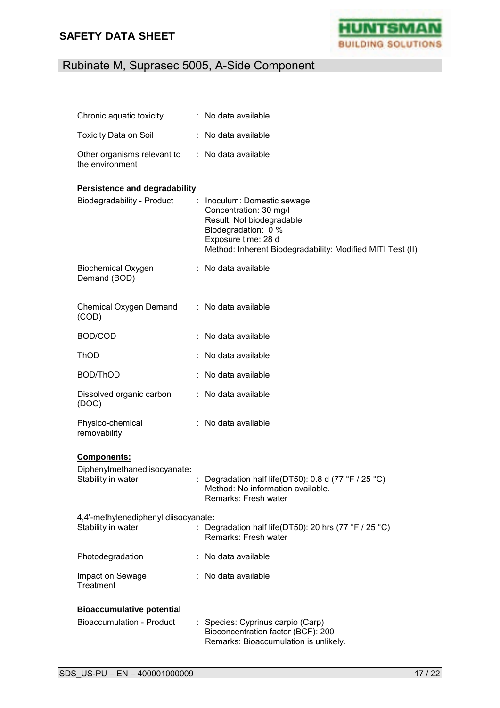

# Rubinate M, Suprasec 5005, A-Side Component

| Chronic aquatic toxicity                                                 |    | : No data available                                                                                                                                                                          |
|--------------------------------------------------------------------------|----|----------------------------------------------------------------------------------------------------------------------------------------------------------------------------------------------|
| <b>Toxicity Data on Soil</b>                                             |    | : No data available                                                                                                                                                                          |
| Other organisms relevant to<br>the environment                           | ÷. | No data available                                                                                                                                                                            |
| <b>Persistence and degradability</b><br>Biodegradability - Product       |    | Inoculum: Domestic sewage<br>Concentration: 30 mg/l<br>Result: Not biodegradable<br>Biodegradation: 0 %<br>Exposure time: 28 d<br>Method: Inherent Biodegradability: Modified MITI Test (II) |
| <b>Biochemical Oxygen</b><br>Demand (BOD)                                |    | : No data available                                                                                                                                                                          |
| Chemical Oxygen Demand<br>(COD)                                          | ÷. | No data available                                                                                                                                                                            |
| BOD/COD                                                                  |    | No data available                                                                                                                                                                            |
| ThOD                                                                     |    | No data available                                                                                                                                                                            |
| <b>BOD/ThOD</b>                                                          |    | No data available                                                                                                                                                                            |
| Dissolved organic carbon<br>(DOC)                                        | t. | No data available                                                                                                                                                                            |
| Physico-chemical<br>removability                                         |    | : No data available                                                                                                                                                                          |
| <b>Components:</b><br>Diphenylmethanediisocyanate:<br>Stability in water |    | Degradation half life(DT50): 0.8 d (77 °F / 25 °C)<br>Method: No information available.<br>Remarks: Fresh water                                                                              |
| 4,4'-methylenediphenyl diisocyanate:<br>Stability in water               |    | Degradation half life(DT50): 20 hrs (77 °F / 25 °C)<br>Remarks: Fresh water                                                                                                                  |
| Photodegradation                                                         |    | : No data available                                                                                                                                                                          |
| Impact on Sewage<br>Treatment                                            |    | No data available                                                                                                                                                                            |
| <b>Bioaccumulative potential</b>                                         |    |                                                                                                                                                                                              |
| <b>Bioaccumulation - Product</b>                                         | t. | Species: Cyprinus carpio (Carp)<br>Bioconcentration factor (BCF): 200<br>Remarks: Bioaccumulation is unlikely.                                                                               |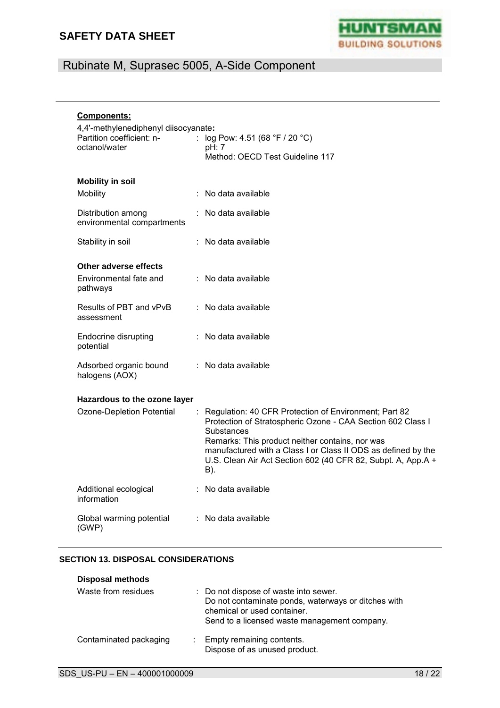

# Rubinate M, Suprasec 5005, A-Side Component

| Components:                                                                        |  |                                                                                                                                                                                  |  |  |
|------------------------------------------------------------------------------------|--|----------------------------------------------------------------------------------------------------------------------------------------------------------------------------------|--|--|
| 4,4'-methylenediphenyl diisocyanate:<br>Partition coefficient: n-<br>octanol/water |  | : $log Pow: 4.51 (68 °F / 20 °C)$<br>pH: 7                                                                                                                                       |  |  |
|                                                                                    |  | Method: OECD Test Guideline 117                                                                                                                                                  |  |  |
| <b>Mobility in soil</b>                                                            |  |                                                                                                                                                                                  |  |  |
| Mobility                                                                           |  | : No data available                                                                                                                                                              |  |  |
| Distribution among<br>environmental compartments                                   |  | No data available                                                                                                                                                                |  |  |
| Stability in soil                                                                  |  | : No data available                                                                                                                                                              |  |  |
| Other adverse effects                                                              |  |                                                                                                                                                                                  |  |  |
| Environmental fate and<br>pathways                                                 |  | : No data available                                                                                                                                                              |  |  |
| Results of PBT and vPvB<br>assessment                                              |  | $\therefore$ No data available                                                                                                                                                   |  |  |
| <b>Endocrine disrupting</b><br>potential                                           |  | : No data available                                                                                                                                                              |  |  |
| Adsorbed organic bound<br>halogens (AOX)                                           |  | : No data available                                                                                                                                                              |  |  |
|                                                                                    |  |                                                                                                                                                                                  |  |  |
| Hazardous to the ozone layer<br>Ozone-Depletion Potential                          |  | Regulation: 40 CFR Protection of Environment; Part 82                                                                                                                            |  |  |
|                                                                                    |  | Protection of Stratospheric Ozone - CAA Section 602 Class I<br>Substances                                                                                                        |  |  |
|                                                                                    |  | Remarks: This product neither contains, nor was<br>manufactured with a Class I or Class II ODS as defined by the<br>U.S. Clean Air Act Section 602 (40 CFR 82, Subpt. A, App.A + |  |  |
|                                                                                    |  | B).                                                                                                                                                                              |  |  |
| Additional ecological<br>information                                               |  | : No data available                                                                                                                                                              |  |  |
| Global warming potential<br>(GWP)                                                  |  | : No data available                                                                                                                                                              |  |  |

#### **SECTION 13. DISPOSAL CONSIDERATIONS**

| <b>Disposal methods</b> |                                                                                                                                                                             |
|-------------------------|-----------------------------------------------------------------------------------------------------------------------------------------------------------------------------|
| Waste from residues     | : Do not dispose of waste into sewer.<br>Do not contaminate ponds, waterways or ditches with<br>chemical or used container.<br>Send to a licensed waste management company. |
| Contaminated packaging  | : Empty remaining contents.<br>Dispose of as unused product.                                                                                                                |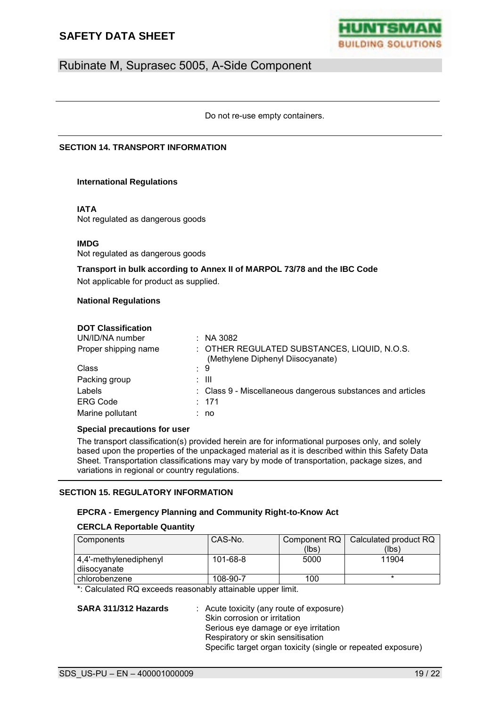

Do not re-use empty containers.

#### **SECTION 14. TRANSPORT INFORMATION**

#### **International Regulations**

#### **IATA**

Not regulated as dangerous goods

#### **IMDG**

Not regulated as dangerous goods

#### **Transport in bulk according to Annex II of MARPOL 73/78 and the IBC Code**

Not applicable for product as supplied.

#### **National Regulations**

#### **DOT Classification**

| UN/ID/NA number      | $\therefore$ NA 3082                                                              |
|----------------------|-----------------------------------------------------------------------------------|
| Proper shipping name | : OTHER REGULATED SUBSTANCES, LIQUID, N.O.S.<br>(Methylene Diphenyl Diisocyanate) |
| Class                | : 9                                                                               |
| Packing group        | : III                                                                             |
| Labels               | : Class 9 - Miscellaneous dangerous substances and articles                       |
| <b>ERG Code</b>      | : 171                                                                             |
| Marine pollutant     | no                                                                                |

#### **Special precautions for user**

The transport classification(s) provided herein are for informational purposes only, and solely based upon the properties of the unpackaged material as it is described within this Safety Data Sheet. Transportation classifications may vary by mode of transportation, package sizes, and variations in regional or country regulations.

#### **SECTION 15. REGULATORY INFORMATION**

#### **EPCRA - Emergency Planning and Community Right-to-Know Act**

#### **CERCLA Reportable Quantity**

| l Components                           | CAS-No.  |       | Component RQ   Calculated product RQ |
|----------------------------------------|----------|-------|--------------------------------------|
|                                        |          | (lbs) | (lbs)                                |
| 4,4'-methylenediphenyl<br>diisocvanate | 101-68-8 | 5000  | 11904                                |
| chlorobenzene                          | 108-90-7 | 100   |                                      |

\*: Calculated RQ exceeds reasonably attainable upper limit.

**SARA 311/312 Hazards** : Acute toxicity (any route of exposure) Skin corrosion or irritation Serious eye damage or eye irritation Respiratory or skin sensitisation Specific target organ toxicity (single or repeated exposure)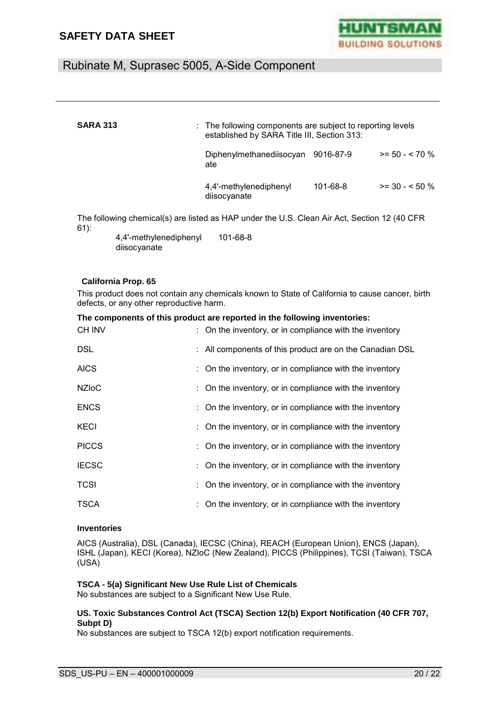

| <b>SARA 313</b>                                                                                        | $\therefore$ The following components are subject to reporting levels<br>established by SARA Title III, Section 313: |           |                  |
|--------------------------------------------------------------------------------------------------------|----------------------------------------------------------------------------------------------------------------------|-----------|------------------|
|                                                                                                        | Diphenylmethanediisocyan<br>ate                                                                                      | 9016-87-9 | $>= 50 - 570$ %  |
|                                                                                                        | 4,4'-methylenediphenyl<br>diisocyanate                                                                               | 101-68-8  | $>=$ 30 - < 50 % |
| The following chemical(s) are listed as HAP under the U.S. Clean Air Act, Section 12 (40 CFR<br>$61$ : |                                                                                                                      |           |                  |

4,4'-methylenediphenyl diisocyanate 101-68-8

#### **California Prop. 65**

This product does not contain any chemicals known to State of California to cause cancer, birth defects, or any other reproductive harm.

|               | The components of this product are reported in the following inventories: |
|---------------|---------------------------------------------------------------------------|
| <b>CH INV</b> | : On the inventory, or in compliance with the inventory                   |
| DSL           | : All components of this product are on the Canadian DSL                  |
| <b>AICS</b>   | : On the inventory, or in compliance with the inventory                   |
| <b>NZIoC</b>  | : On the inventory, or in compliance with the inventory                   |
| <b>ENCS</b>   | : On the inventory, or in compliance with the inventory                   |
| <b>KECI</b>   | : On the inventory, or in compliance with the inventory                   |
| <b>PICCS</b>  | : On the inventory, or in compliance with the inventory                   |
| <b>IECSC</b>  | : On the inventory, or in compliance with the inventory                   |
| <b>TCSI</b>   | : On the inventory, or in compliance with the inventory                   |
| <b>TSCA</b>   | : On the inventory, or in compliance with the inventory                   |

#### **Inventories**

AICS (Australia), DSL (Canada), IECSC (China), REACH (European Union), ENCS (Japan), ISHL (Japan), KECI (Korea), NZIoC (New Zealand), PICCS (Philippines), TCSI (Taiwan), TSCA (USA)

### **TSCA - 5(a) Significant New Use Rule List of Chemicals**

No substances are subject to a Significant New Use Rule.

#### **US. Toxic Substances Control Act (TSCA) Section 12(b) Export Notification (40 CFR 707, Subpt D)**

No substances are subject to TSCA 12(b) export notification requirements.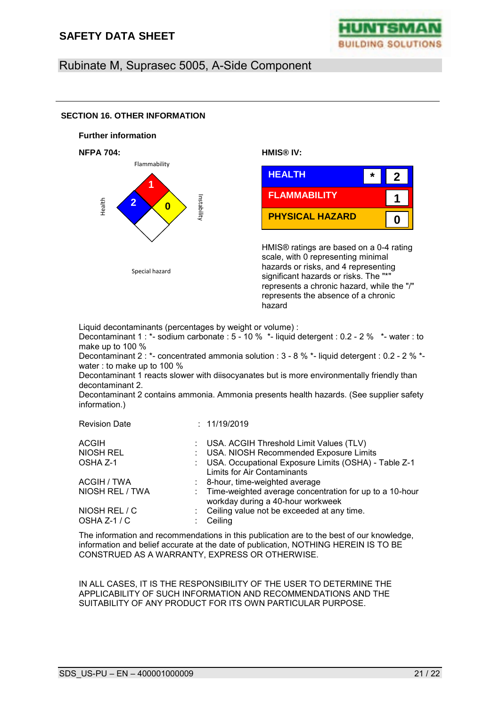**SECTION 16. OTHER INFORMATION**



### Rubinate M, Suprasec 5005, A-Side Component

#### **Further information NFPA 704: HMIS® IV:**  HMIS® ratings are based on a 0-4 rating scale, with 0 representing minimal hazards or risks, and 4 representing significant hazards or risks. The "\*" represents a chronic hazard, while the "/" represents the absence of a chronic hazard Flammability Health Instability **2 0**  Special hazard **FLAMMABILITY 1 PHYSICAL HAZARD HEALTH 0 \* 2 1**

Liquid decontaminants (percentages by weight or volume) : Decontaminant 1 : \*- sodium carbonate : 5 - 10 % \*- liquid detergent : 0.2 - 2 % \*- water : to make up to 100 % Decontaminant 2 : \*- concentrated ammonia solution : 3 - 8 % \*- liquid detergent : 0.2 - 2 % \*-

water : to make up to 100 %

Decontaminant 1 reacts slower with diisocyanates but is more environmentally friendly than decontaminant 2.

Decontaminant 2 contains ammonia. Ammonia presents health hazards. (See supplier safety information.)

| <b>Revision Date</b> | : 11/19/2019                                                                                   |
|----------------------|------------------------------------------------------------------------------------------------|
| <b>ACGIH</b>         | : USA. ACGIH Threshold Limit Values (TLV)                                                      |
| NIOSH REL            | : USA. NIOSH Recommended Exposure Limits                                                       |
| OSHA Z-1             | : USA. Occupational Exposure Limits (OSHA) - Table Z-1<br>Limits for Air Contaminants          |
| ACGIH / TWA          | : 8-hour, time-weighted average                                                                |
| NIOSH REL / TWA      | : Time-weighted average concentration for up to a 10-hour<br>workday during a 40-hour workweek |
| NIOSH REL / C        | Ceiling value not be exceeded at any time.                                                     |
| OSHA Z-1 / C         | Ceiling                                                                                        |

The information and recommendations in this publication are to the best of our knowledge, information and belief accurate at the date of publication, NOTHING HEREIN IS TO BE CONSTRUED AS A WARRANTY, EXPRESS OR OTHERWISE.

IN ALL CASES, IT IS THE RESPONSIBILITY OF THE USER TO DETERMINE THE APPLICABILITY OF SUCH INFORMATION AND RECOMMENDATIONS AND THE SUITABILITY OF ANY PRODUCT FOR ITS OWN PARTICULAR PURPOSE.